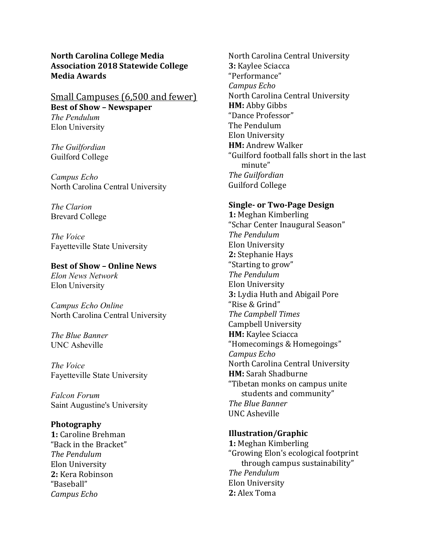**North Carolina College Media Association 2018 Statewide College Media Awards**

## Small Campuses (6,500 and fewer) **Best of Show – Newspaper** *The Pendulum* Elon University

*The Guilfordian* Guilford College

*Campus Echo* North Carolina Central University

*The Clarion* Brevard College

*The Voice* Fayetteville State University

## **Best of Show – Online News**

*Elon News Network* Elon University

*Campus Echo Online* North Carolina Central University

*The Blue Banner* UNC Asheville

*The Voice* Fayetteville State University

*Falcon Forum* Saint Augustine's University

### **Photography**

**1:** Caroline Brehman "Back in the Bracket" *The Pendulum* Elon University **2:** Kera Robinson "Baseball" *Campus Echo*

North Carolina Central University **3:** Kaylee Sciacca "Performance" *Campus Echo* North Carolina Central University **HM:** Abby Gibbs "Dance Professor" The Pendulum Elon University **HM:** Andrew Walker "Guilford football falls short in the last minute" *The Guilfordian* Guilford College

#### **Single- or Two-Page Design**

**1:** Meghan Kimberling "Schar Center Inaugural Season" *The Pendulum* Elon University **2:** Stephanie Hays "Starting to grow" *The Pendulum* Elon University **3:** Lydia Huth and Abigail Pore "Rise & Grind" *The Campbell Times* Campbell University **HM:** Kaylee Sciacca "Homecomings & Homegoings" *Campus Echo* North Carolina Central University **HM:** Sarah Shadburne "Tibetan monks on campus unite students and community" *The Blue Banner* UNC Asheville

#### **Illustration/Graphic**

**1:** Meghan Kimberling "Growing Elon's ecological footprint through campus sustainability" *The Pendulum* Elon University **2:** Alex Toma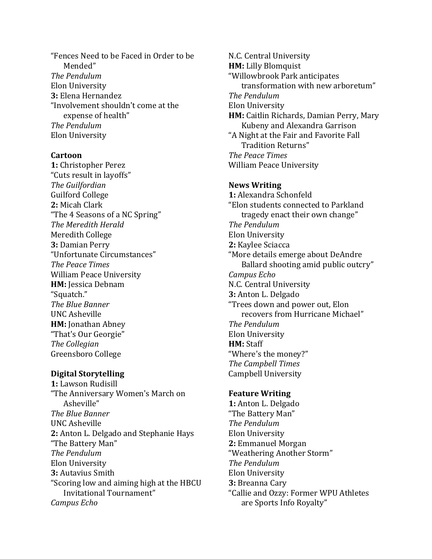"Fences Need to be Faced in Order to be Mended" *The Pendulum* Elon University **3:** Elena Hernandez "Involvement shouldn't come at the expense of health" *The Pendulum* Elon University

### **Cartoon**

**1:** Christopher Perez "Cuts result in layoffs" *The Guilfordian* Guilford College **2:** Micah Clark "The 4 Seasons of a NC Spring" *The Meredith Herald* Meredith College **3:** Damian Perry "Unfortunate Circumstances" *The Peace Times* William Peace University **HM:** Jessica Debnam "Squatch." *The Blue Banner* UNC Asheville **HM:** Jonathan Abney "That's Our Georgie" *The Collegian* Greensboro College

# **Digital Storytelling**

**1:** Lawson Rudisill "The Anniversary Women's March on Asheville" *The Blue Banner* UNC Asheville **2:** Anton L. Delgado and Stephanie Hays "The Battery Man" *The Pendulum* Elon University **3:** Autavius Smith "Scoring low and aiming high at the HBCU Invitational Tournament" *Campus Echo*

N.C. Central University **HM:** Lilly Blomquist "Willowbrook Park anticipates transformation with new arboretum" *The Pendulum* Elon University **HM:** Caitlin Richards, Damian Perry, Mary Kubeny and Alexandra Garrison "A Night at the Fair and Favorite Fall Tradition Returns" *The Peace Times* William Peace University **News Writing 1:** Alexandra Schonfeld "Elon students connected to Parkland tragedy enact their own change" *The Pendulum* Elon University **2:** Kaylee Sciacca "More details emerge about DeAndre Ballard shooting amid public outcry" *Campus Echo* N.C. Central University **3:** Anton L. Delgado "Trees down and power out, Elon recovers from Hurricane Michael" *The Pendulum* Elon University **HM:** Staff "Where's the money?" *The Campbell Times* Campbell University

# **Feature Writing**

**1:** Anton L. Delgado "The Battery Man" *The Pendulum* Elon University **2:** Emmanuel Morgan "Weathering Another Storm" *The Pendulum* Elon University **3:** Breanna Cary "Callie and Ozzy: Former WPU Athletes are Sports Info Royalty"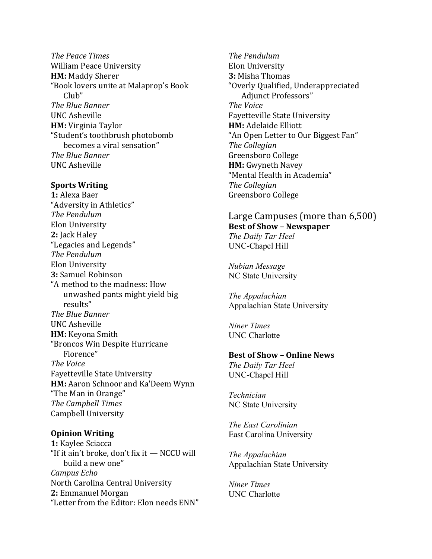*The Peace Times* William Peace University **HM: Maddy Sherer** "Book lovers unite at Malaprop's Book Club" *The Blue Banner* UNC Asheville **HM:** Virginia Taylor "Student's toothbrush photobomb becomes a viral sensation" *The Blue Banner* UNC Asheville

#### **Sports Writing**

**1:** Alexa Baer "Adversity in Athletics" *The Pendulum* Elon University **2:** Jack Haley "Legacies and Legends" *The Pendulum* Elon University **3:** Samuel Robinson "A method to the madness: How unwashed pants might yield big results" *The Blue Banner* UNC Asheville **HM:** Keyona Smith "Broncos Win Despite Hurricane Florence" *The Voice* Fayetteville State University **HM:** Aaron Schnoor and Ka'Deem Wynn "The Man in Orange" *The Campbell Times* Campbell University

## **Opinion Writing**

**1:** Kaylee Sciacca "If it ain't broke, don't fix it — NCCU will build a new one" *Campus Echo* North Carolina Central University **2:** Emmanuel Morgan "Letter from the Editor: Elon needs ENN" *The Pendulum* Elon University **3:** Misha Thomas "Overly Qualified, Underappreciated Adjunct Professors" *The Voice* Fayetteville State University **HM:** Adelaide Elliott "An Open Letter to Our Biggest Fan" *The Collegian* Greensboro College **HM:** Gwyneth Navey "Mental Health in Academia" *The Collegian* Greensboro College

## Large Campuses (more than 6,500) **Best of Show – Newspaper**

*The Daily Tar Heel* UNC-Chapel Hill

*Nubian Message* NC State University

*The Appalachian* Appalachian State University

*Niner Times* UNC Charlotte

#### **Best of Show – Online News**

*The Daily Tar Heel* UNC-Chapel Hill

*Technician* NC State University

*The East Carolinian* East Carolina University

*The Appalachian* Appalachian State University

*Niner Times* UNC Charlotte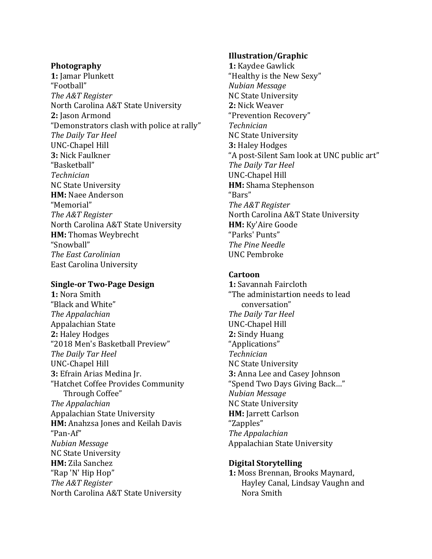## **Photography**

**1:** Jamar Plunkett "Football" *The A&T Register* North Carolina A&T State University **2:** Jason Armond "Demonstrators clash with police at rally" *The Daily Tar Heel* UNC-Chapel Hill **3:** Nick Faulkner "Basketball" *Technician* NC State University **HM:** Naee Anderson "Memorial" *The A&T Register* North Carolina A&T State University **HM:** Thomas Weybrecht "Snowball" *The East Carolinian* East Carolina University

## **Single-or Two-Page Design**

**1:** Nora Smith "Black and White" *The Appalachian* Appalachian State **2:** Haley Hodges "2018 Men's Basketball Preview" *The Daily Tar Heel* UNC-Chapel Hill **3:** Efrain Arias Medina Jr. "Hatchet Coffee Provides Community Through Coffee" *The Appalachian* Appalachian State University **HM:** Anahzsa Jones and Keilah Davis "Pan-Af" *Nubian Message* NC State University **HM:** Zila Sanchez "Rap 'N' Hip Hop" *The A&T Register* North Carolina A&T State University

## **Illustration/Graphic**

**1:** Kaydee Gawlick "Healthy is the New Sexy" *Nubian Message* NC State University **2:** Nick Weaver "Prevention Recovery" *Technician* NC State University **3:** Haley Hodges "A post-Silent Sam look at UNC public art" *The Daily Tar Heel* UNC-Chapel Hill **HM:** Shama Stephenson "Bars" *The A&T Register* North Carolina A&T State University **HM:** Ky'Aire Goode "Parks' Punts" *The Pine Needle* UNC Pembroke

## **Cartoon**

**1:** Savannah Faircloth "The administartion needs to lead conversation" *The Daily Tar Heel* UNC-Chapel Hill **2:** Sindy Huang "Applications" *Technician* NC State University **3:** Anna Lee and Casey Johnson "Spend Two Days Giving Back…" *Nubian Message* NC State University **HM:** Jarrett Carlson "Zapples" *The Appalachian* Appalachian State University

# **Digital Storytelling**

**1:** Moss Brennan, Brooks Maynard, Hayley Canal, Lindsay Vaughn and Nora Smith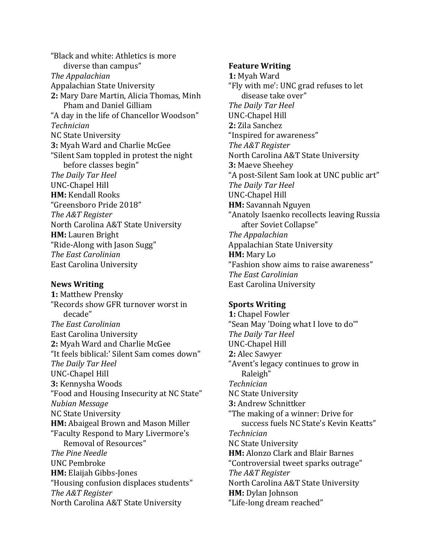"Black and white: Athletics is more diverse than campus" *The Appalachian* Appalachian State University **2:** Mary Dare Martin, Alicia Thomas, Minh Pham and Daniel Gilliam "A day in the life of Chancellor Woodson" *Technician* NC State University **3:** Myah Ward and Charlie McGee "Silent Sam toppled in protest the night before classes begin" *The Daily Tar Heel* UNC-Chapel Hill **HM:** Kendall Rooks "Greensboro Pride 2018" *The A&T Register* North Carolina A&T State University **HM:** Lauren Bright "Ride-Along with Jason Sugg" *The East Carolinian* East Carolina University

#### **News Writing**

**1:** Matthew Prensky "Records show GFR turnover worst in decade" *The East Carolinian* East Carolina University **2:** Myah Ward and Charlie McGee "It feels biblical:' Silent Sam comes down" *The Daily Tar Heel* UNC-Chapel Hill **3:** Kennysha Woods "Food and Housing Insecurity at NC State" *Nubian Message* NC State University **HM:** Abaigeal Brown and Mason Miller "Faculty Respond to Mary Livermore's Removal of Resources" *The Pine Needle* UNC Pembroke **HM:** Elaijah Gibbs-Jones "Housing confusion displaces students" *The A&T Register* North Carolina A&T State University

# **Feature Writing**

**1:** Myah Ward "Fly with me': UNC grad refuses to let disease take over" *The Daily Tar Heel* UNC-Chapel Hill **2:** Zila Sanchez "Inspired for awareness" *The A&T Register* North Carolina A&T State University **3:** Maeve Sheehey "A post-Silent Sam look at UNC public art" *The Daily Tar Heel* UNC-Chapel Hill **HM:** Savannah Nguyen "Anatoly Isaenko recollects leaving Russia after Soviet Collapse" *The Appalachian* Appalachian State University **HM:** Mary Lo "Fashion show aims to raise awareness" *The East Carolinian* East Carolina University

## **Sports Writing**

**1:** Chapel Fowler "Sean May 'Doing what I love to do'" *The Daily Tar Heel* UNC-Chapel Hill **2:** Alec Sawyer "Avent's legacy continues to grow in Raleigh" *Technician* NC State University **3:** Andrew Schnittker "The making of a winner: Drive for success fuels NC State's Kevin Keatts" *Technician* NC State University **HM:** Alonzo Clark and Blair Barnes "Controversial tweet sparks outrage" *The A&T Register* North Carolina A&T State University **HM:** Dylan Johnson "Life-long dream reached"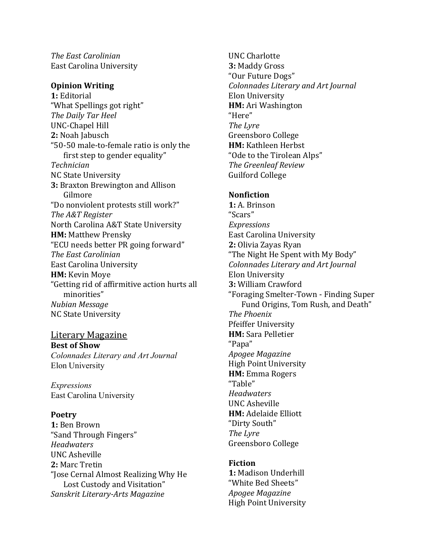*The East Carolinian* East Carolina University

### **Opinion Writing**

**1:** Editorial "What Spellings got right" *The Daily Tar Heel* UNC-Chapel Hill **2:** Noah Jabusch "50-50 male-to-female ratio is only the first step to gender equality" *Technician* NC State University **3:** Braxton Brewington and Allison Gilmore "Do nonviolent protests still work?" *The A&T Register* North Carolina A&T State University **HM: Matthew Prensky** "ECU needs better PR going forward" *The East Carolinian* East Carolina University **HM:** Kevin Moye "Getting rid of affirmitive action hurts all minorities" *Nubian Message* NC State University

## Literary Magazine **Best of Show** *Colonnades Literary and Art Journal* Elon University

*Expressions* East Carolina University

#### **Poetry**

**1:** Ben Brown "Sand Through Fingers" *Headwaters* UNC Asheville **2:** Marc Tretin "Jose Cernal Almost Realizing Why He Lost Custody and Visitation" *Sanskrit Literary-Arts Magazine*

UNC Charlotte **3:** Maddy Gross "Our Future Dogs" *Colonnades Literary and Art Journal* Elon University **HM:** Ari Washington "Here" *The Lyre* Greensboro College **HM:** Kathleen Herbst "Ode to the Tirolean Alps" *The Greenleaf Review* Guilford College

## **Nonfiction**

**1:** A. Brinson "Scars" *Expressions* East Carolina University **2:** Olivia Zayas Ryan "The Night He Spent with My Body" *Colonnades Literary and Art Journal* Elon University **3:** William Crawford "Foraging Smelter-Town - Finding Super Fund Origins, Tom Rush, and Death" *The Phoenix* Pfeiffer University **HM:** Sara Pelletier "Papa" *Apogee Magazine* High Point University **HM:** Emma Rogers "Table" *Headwaters* UNC Asheville **HM:** Adelaide Elliott "Dirty South" *The Lyre* Greensboro College

# **Fiction**

**1:** Madison Underhill "White Bed Sheets" *Apogee Magazine* High Point University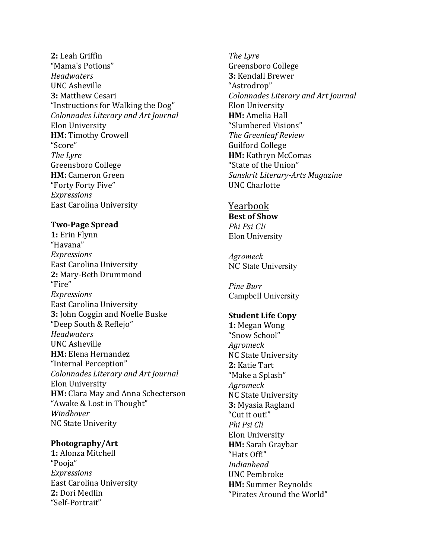**2:** Leah Griffin "Mama's Potions" *Headwaters* UNC Asheville **3:** Matthew Cesari "Instructions for Walking the Dog" *Colonnades Literary and Art Journal* Elon University **HM:** Timothy Crowell "Score" *The Lyre* Greensboro College **HM:** Cameron Green "Forty Forty Five" *Expressions* East Carolina University

# **Two-Page Spread**

**1:** Erin Flynn "Havana" *Expressions* East Carolina University **2:** Mary-Beth Drummond "Fire" *Expressions* East Carolina University **3:** John Coggin and Noelle Buske "Deep South & Reflejo" *Headwaters* UNC Asheville **HM:** Elena Hernandez "Internal Perception" *Colonnades Literary and Art Journal* Elon University **HM:** Clara May and Anna Schecterson "Awake & Lost in Thought" *Windhover* NC State Univerity

# **Photography/Art**

**1:** Alonza Mitchell "Pooja" *Expressions* East Carolina University **2:** Dori Medlin "Self-Portrait"

*The Lyre* Greensboro College **3:** Kendall Brewer "Astrodrop" *Colonnades Literary and Art Journal* Elon University **HM:** Amelia Hall "Slumbered Visions" *The Greenleaf Review* Guilford College **HM:** Kathryn McComas "State of the Union" *Sanskrit Literary-Arts Magazine* UNC Charlotte

# Yearbook

**Best of Show** *Phi Psi Cli*

Elon University

*Agromeck* NC State University

*Pine Burr* Campbell University

## **Student Life Copy**

**1:** Megan Wong "Snow School" *Agromeck* NC State University **2:** Katie Tart "Make a Splash" *Agromeck* NC State University **3:** Myasia Ragland "Cut it out!" *Phi Psi Cli* Elon University **HM:** Sarah Graybar "Hats Off!" *Indianhead* UNC Pembroke **HM:** Summer Reynolds "Pirates Around the World"